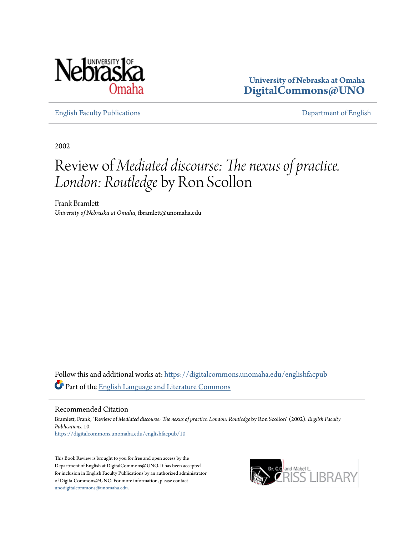

**University of Nebraska at Omaha [DigitalCommons@UNO](https://digitalcommons.unomaha.edu?utm_source=digitalcommons.unomaha.edu%2Fenglishfacpub%2F10&utm_medium=PDF&utm_campaign=PDFCoverPages)**

[English Faculty Publications](https://digitalcommons.unomaha.edu/englishfacpub?utm_source=digitalcommons.unomaha.edu%2Fenglishfacpub%2F10&utm_medium=PDF&utm_campaign=PDFCoverPages) [Department of English](https://digitalcommons.unomaha.edu/english?utm_source=digitalcommons.unomaha.edu%2Fenglishfacpub%2F10&utm_medium=PDF&utm_campaign=PDFCoverPages)

2002

## Review of *Mediated discourse: The nexus of practice. London: Routledge* by Ron Scollon

Frank Bramlett *University of Nebraska at Omaha*, fbramlett@unomaha.edu

Follow this and additional works at: [https://digitalcommons.unomaha.edu/englishfacpub](https://digitalcommons.unomaha.edu/englishfacpub?utm_source=digitalcommons.unomaha.edu%2Fenglishfacpub%2F10&utm_medium=PDF&utm_campaign=PDFCoverPages) Part of the [English Language and Literature Commons](http://network.bepress.com/hgg/discipline/455?utm_source=digitalcommons.unomaha.edu%2Fenglishfacpub%2F10&utm_medium=PDF&utm_campaign=PDFCoverPages)

Recommended Citation

Bramlett, Frank, "Review of *Mediated discourse: The nexus of practice. London: Routledge* by Ron Scollon" (2002). *English Faculty Publications*. 10. [https://digitalcommons.unomaha.edu/englishfacpub/10](https://digitalcommons.unomaha.edu/englishfacpub/10?utm_source=digitalcommons.unomaha.edu%2Fenglishfacpub%2F10&utm_medium=PDF&utm_campaign=PDFCoverPages)

This Book Review is brought to you for free and open access by the Department of English at DigitalCommons@UNO. It has been accepted for inclusion in English Faculty Publications by an authorized administrator of DigitalCommons@UNO. For more information, please contact [unodigitalcommons@unomaha.edu](mailto:unodigitalcommons@unomaha.edu).

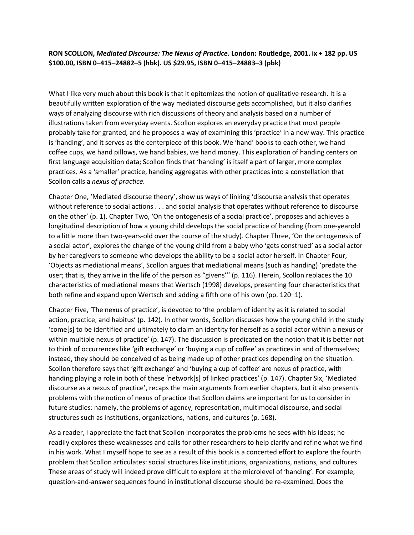**RON SCOLLON,** *Mediated Discourse: The Nexus of Practice***. London: Routledge, 2001. ix + 182 pp. US \$100.00, ISBN 0–415–24882–5 (hbk). US \$29.95, ISBN 0–415–24883–3 (pbk)** 

What I like very much about this book is that it epitomizes the notion of qualitative research. It is a beautifully written exploration of the way mediated discourse gets accomplished, but it also clarifies ways of analyzing discourse with rich discussions of theory and analysis based on a number of illustrations taken from everyday events. Scollon explores an everyday practice that most people probably take for granted, and he proposes a way of examining this 'practice' in a new way. This practice is 'handing', and it serves as the centerpiece of this book. We 'hand' books to each other, we hand coffee cups, we hand pillows, we hand babies, we hand money. This exploration of handing centers on first language acquisition data; Scollon finds that 'handing' is itself a part of larger, more complex practices. As a 'smaller' practice, handing aggregates with other practices into a constellation that Scollon calls a *nexus of practice*.

Chapter One, 'Mediated discourse theory', show us ways of linking 'discourse analysis that operates without reference to social actions . . . and social analysis that operates without reference to discourse on the other' (p. 1). Chapter Two, 'On the ontogenesis of a social practice', proposes and achieves a longitudinal description of how a young child develops the social practice of handing (from one-yearold to a little more than two-years-old over the course of the study). Chapter Three, 'On the ontogenesis of a social actor', explores the change of the young child from a baby who 'gets construed' as a social actor by her caregivers to someone who develops the ability to be a social actor herself. In Chapter Four, 'Objects as mediational means', Scollon argues that mediational means (such as handing) 'predate the user; that is, they arrive in the life of the person as "givens''' (p. 116). Herein, Scollon replaces the 10 characteristics of mediational means that Wertsch (1998) develops, presenting four characteristics that both refine and expand upon Wertsch and adding a fifth one of his own (pp. 120–1).

Chapter Five, 'The nexus of practice', is devoted to 'the problem of identity as it is related to social action, practice, and habitus' (p. 142). In other words, Scollon discusses how the young child in the study 'come[s] to be identified and ultimately to claim an identity for herself as a social actor within a nexus or within multiple nexus of practice' (p. 147). The discussion is predicated on the notion that it is better not to think of occurrences like 'gift exchange' or 'buying a cup of coffee' as practices in and of themselves; instead, they should be conceived of as being made up of other practices depending on the situation. Scollon therefore says that 'gift exchange' and 'buying a cup of coffee' are nexus of practice, with handing playing a role in both of these 'network[s] of linked practices' (p. 147). Chapter Six, 'Mediated discourse as a nexus of practice', recaps the main arguments from earlier chapters, but it also presents problems with the notion of nexus of practice that Scollon claims are important for us to consider in future studies: namely, the problems of agency, representation, multimodal discourse, and social structures such as institutions, organizations, nations, and cultures (p. 168).

As a reader, I appreciate the fact that Scollon incorporates the problems he sees with his ideas; he readily explores these weaknesses and calls for other researchers to help clarify and refine what we find in his work. What I myself hope to see as a result of this book is a concerted effort to explore the fourth problem that Scollon articulates: social structures like institutions, organizations, nations, and cultures. These areas of study will indeed prove difficult to explore at the microlevel of 'handing'. For example, question-and-answer sequences found in institutional discourse should be re-examined. Does the